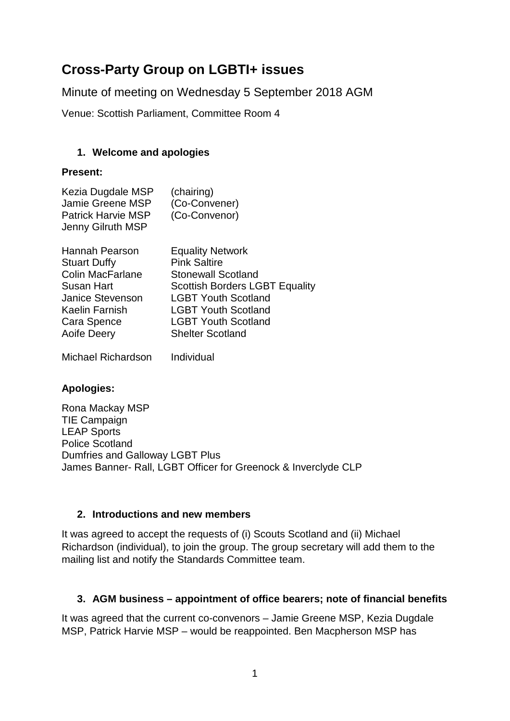# **Cross-Party Group on LGBTI+ issues**

Minute of meeting on Wednesday 5 September 2018 AGM

Venue: Scottish Parliament, Committee Room 4

### **1. Welcome and apologies**

### **Present:**

| Kezia Dugdale MSP<br><b>Jamie Greene MSP</b><br><b>Patrick Harvie MSP</b><br>Jenny Gilruth MSP | (chairing)<br>(Co-Convener)<br>(Co-Convenor) |  |
|------------------------------------------------------------------------------------------------|----------------------------------------------|--|
| Hannah Pearson                                                                                 | <b>Equality Network</b>                      |  |

| <u>Halilidii Fedisuli</u> | Equality Network                      |
|---------------------------|---------------------------------------|
| <b>Stuart Duffy</b>       | <b>Pink Saltire</b>                   |
| <b>Colin MacFarlane</b>   | <b>Stonewall Scotland</b>             |
| Susan Hart                | <b>Scottish Borders LGBT Equality</b> |
| <b>Janice Stevenson</b>   | <b>LGBT Youth Scotland</b>            |
| Kaelin Farnish            | <b>LGBT Youth Scotland</b>            |
| Cara Spence               | <b>LGBT Youth Scotland</b>            |
| Aoife Deery               | <b>Shelter Scotland</b>               |
|                           |                                       |

Michael Richardson Individual

# **Apologies:**

Rona Mackay MSP TIE Campaign LEAP Sports Police Scotland Dumfries and Galloway LGBT Plus James Banner- Rall, LGBT Officer for Greenock & Inverclyde CLP

### **2. Introductions and new members**

It was agreed to accept the requests of (i) Scouts Scotland and (ii) Michael Richardson (individual), to join the group. The group secretary will add them to the mailing list and notify the Standards Committee team.

# **3. AGM business – appointment of office bearers; note of financial benefits**

It was agreed that the current co-convenors – Jamie Greene MSP, Kezia Dugdale MSP, Patrick Harvie MSP – would be reappointed. Ben Macpherson MSP has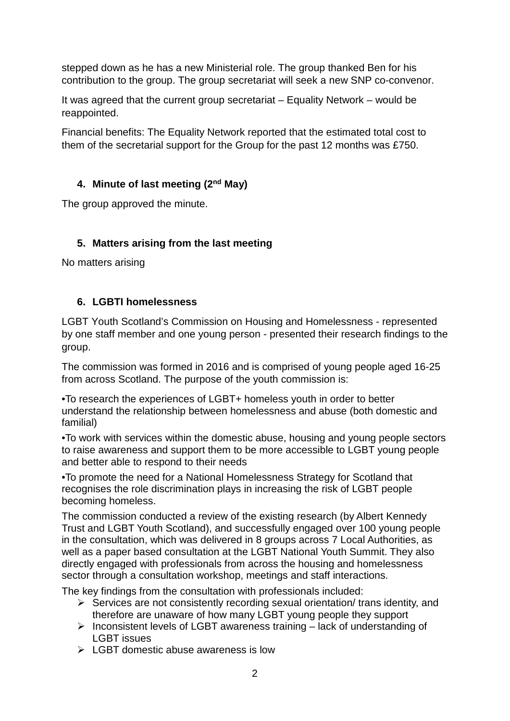stepped down as he has a new Ministerial role. The group thanked Ben for his contribution to the group. The group secretariat will seek a new SNP co-convenor.

It was agreed that the current group secretariat – Equality Network – would be reappointed.

Financial benefits: The Equality Network reported that the estimated total cost to them of the secretarial support for the Group for the past 12 months was £750.

# **4. Minute of last meeting (2nd May)**

The group approved the minute.

## **5. Matters arising from the last meeting**

No matters arising

### **6. LGBTI homelessness**

LGBT Youth Scotland's Commission on Housing and Homelessness - represented by one staff member and one young person - presented their research findings to the group.

The commission was formed in 2016 and is comprised of young people aged 16-25 from across Scotland. The purpose of the youth commission is:

•To research the experiences of LGBT+ homeless youth in order to better understand the relationship between homelessness and abuse (both domestic and familial)

•To work with services within the domestic abuse, housing and young people sectors to raise awareness and support them to be more accessible to LGBT young people and better able to respond to their needs

•To promote the need for a National Homelessness Strategy for Scotland that recognises the role discrimination plays in increasing the risk of LGBT people becoming homeless.

The commission conducted a review of the existing research (by Albert Kennedy Trust and LGBT Youth Scotland), and successfully engaged over 100 young people in the consultation, which was delivered in 8 groups across 7 Local Authorities, as well as a paper based consultation at the LGBT National Youth Summit. They also directly engaged with professionals from across the housing and homelessness sector through a consultation workshop, meetings and staff interactions.

The key findings from the consultation with professionals included:

- $\triangleright$  Services are not consistently recording sexual orientation/ trans identity, and therefore are unaware of how many LGBT young people they support
- $\triangleright$  Inconsistent levels of LGBT awareness training lack of understanding of LGBT issues
- $\triangleright$  LGBT domestic abuse awareness is low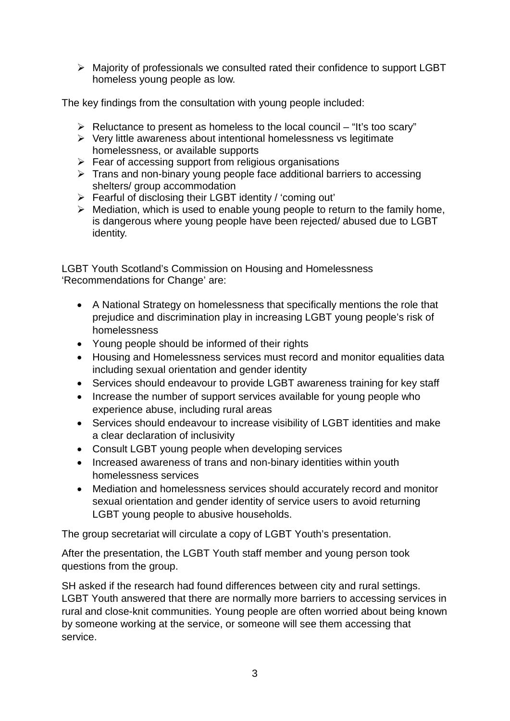$\triangleright$  Majority of professionals we consulted rated their confidence to support LGBT homeless young people as low.

The key findings from the consultation with young people included:

- $\triangleright$  Reluctance to present as homeless to the local council "It's too scary"
- $\triangleright$  Very little awareness about intentional homelessness vs legitimate homelessness, or available supports
- $\triangleright$  Fear of accessing support from religious organisations
- $\triangleright$  Trans and non-binary young people face additional barriers to accessing shelters/ group accommodation
- Fearful of disclosing their LGBT identity / 'coming out'
- $\triangleright$  Mediation, which is used to enable young people to return to the family home, is dangerous where young people have been rejected/ abused due to LGBT identity.

LGBT Youth Scotland's Commission on Housing and Homelessness 'Recommendations for Change' are:

- A National Strategy on homelessness that specifically mentions the role that prejudice and discrimination play in increasing LGBT young people's risk of homelessness
- Young people should be informed of their rights
- Housing and Homelessness services must record and monitor equalities data including sexual orientation and gender identity
- Services should endeavour to provide LGBT awareness training for key staff
- Increase the number of support services available for young people who experience abuse, including rural areas
- Services should endeavour to increase visibility of LGBT identities and make a clear declaration of inclusivity
- Consult LGBT young people when developing services
- Increased awareness of trans and non-binary identities within youth homelessness services
- Mediation and homelessness services should accurately record and monitor sexual orientation and gender identity of service users to avoid returning LGBT young people to abusive households.

The group secretariat will circulate a copy of LGBT Youth's presentation.

After the presentation, the LGBT Youth staff member and young person took questions from the group.

SH asked if the research had found differences between city and rural settings. LGBT Youth answered that there are normally more barriers to accessing services in rural and close-knit communities. Young people are often worried about being known by someone working at the service, or someone will see them accessing that service.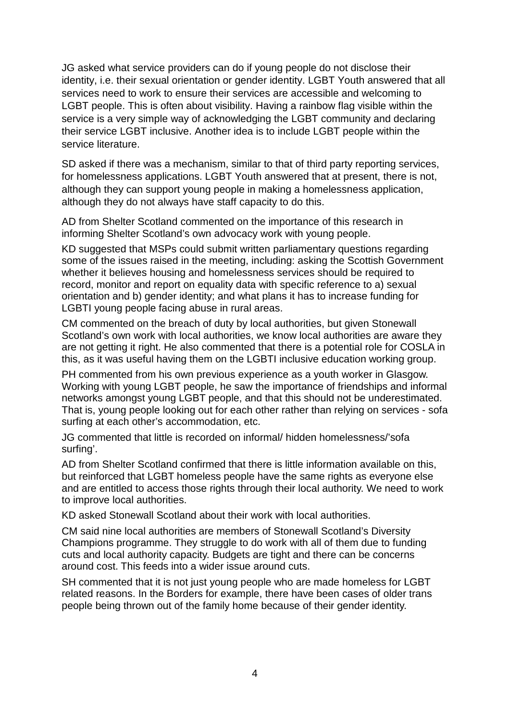JG asked what service providers can do if young people do not disclose their identity, i.e. their sexual orientation or gender identity. LGBT Youth answered that all services need to work to ensure their services are accessible and welcoming to LGBT people. This is often about visibility. Having a rainbow flag visible within the service is a very simple way of acknowledging the LGBT community and declaring their service LGBT inclusive. Another idea is to include LGBT people within the service literature.

SD asked if there was a mechanism, similar to that of third party reporting services, for homelessness applications. LGBT Youth answered that at present, there is not, although they can support young people in making a homelessness application, although they do not always have staff capacity to do this.

AD from Shelter Scotland commented on the importance of this research in informing Shelter Scotland's own advocacy work with young people.

KD suggested that MSPs could submit written parliamentary questions regarding some of the issues raised in the meeting, including: asking the Scottish Government whether it believes housing and homelessness services should be required to record, monitor and report on equality data with specific reference to a) sexual orientation and b) gender identity; and what plans it has to increase funding for LGBTI young people facing abuse in rural areas.

CM commented on the breach of duty by local authorities, but given Stonewall Scotland's own work with local authorities, we know local authorities are aware they are not getting it right. He also commented that there is a potential role for COSLA in this, as it was useful having them on the LGBTI inclusive education working group.

PH commented from his own previous experience as a youth worker in Glasgow. Working with young LGBT people, he saw the importance of friendships and informal networks amongst young LGBT people, and that this should not be underestimated. That is, young people looking out for each other rather than relying on services - sofa surfing at each other's accommodation, etc.

JG commented that little is recorded on informal/ hidden homelessness/'sofa surfing'.

AD from Shelter Scotland confirmed that there is little information available on this, but reinforced that LGBT homeless people have the same rights as everyone else and are entitled to access those rights through their local authority. We need to work to improve local authorities.

KD asked Stonewall Scotland about their work with local authorities.

CM said nine local authorities are members of Stonewall Scotland's Diversity Champions programme. They struggle to do work with all of them due to funding cuts and local authority capacity. Budgets are tight and there can be concerns around cost. This feeds into a wider issue around cuts.

SH commented that it is not just young people who are made homeless for LGBT related reasons. In the Borders for example, there have been cases of older trans people being thrown out of the family home because of their gender identity.